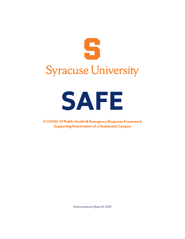



**A COVID-19 Public Health & Emergency Response Framework Supporting Reactivation of a Residential Campus**

Draft current as of June 10, 2020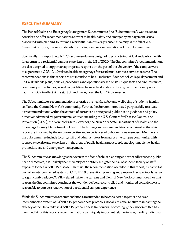# **EXECUTIVE SUMMARY**

The Public Health and Emergency Management Subcommittee (the "Subcommittee") was tasked to consider and offer recommendations relevant to health, safety and emergency management issues associated with planning to resume a residential campus at Syracuse University in the fall of 2020. Given that purpose, this report details the findings and recommendations of the Subcommittee.

Specifically, this report details 127 recommendations designed to promote individual and public health for a return to a residential campus experience in the fall of 2020. The Subcommittee's recommendations are also designed to support an appropriate response on the part of the University if the campus were to experience a COVID-19 related health emergency after residential campus activities resume. The recommendations in this report are not intended to be all-inclusive. Each school, college, department and unit will tailor its plans, policies, procedures and operations based on its unique facts and circumstances, community and activities, as well as guidelines from federal, state and local governments and public health officials in effect at the start of, and throughout, the fall 2020 semester.

The Subcommittee's recommendations prioritize the health, safety and well-being of students, faculty, staff and the Central New York community. Further, the Subcommittee acted purposefully to situate its recommendations within the context of current and anticipated public health guidance and policy directives advanced by governmental entities, including the U.S. Centers for Disease Control and Prevention (CDC), the New York State Governor, the New York State Department of Health and the Onondaga County Department of Health. The findings and recommendations contained within this report are informed by the unique expertise and experiences of Subcommittee members. Members of the Subcommittee include faculty, staff and administrators from across the campus community, with focused expertise and experience in the areas of public health practice, epidemiology, medicine, health promotion, law and emergency management.

The Subcommittee acknowledges that even in the face of robust planning and strict adherence to public health directives, it is unlikely the University can entirely mitigate the risk of student, faculty or staff exposure to the COVID-19 disease. That said, the recommendations detailed in this report, if enacted as part of an interconnected system of COVID-19 prevention, planning and preparedness protocols, serve to significantly reduce COVID-related risk to the campus and Central New York communities. For that reason, the Subcommittee concludes that—under deliberate, controlled and monitored conditions—it is reasonable to pursue a reactivation of a residential campus experience.

While the Subcommittee's recommendations are intended to be considered together and as an interconnected system of COVID-19 preparedness protocols, not all are equal relative to impacting the efficacy of the University's COVID-19 preparedness framework. Accordingly, the Subcommittee has identified 20 of this report's recommendations as uniquely important relative to safeguarding individual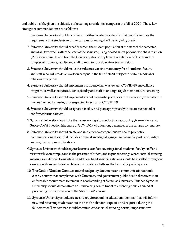and public health, given the objective of resuming a residential campus in the fall of 2020. Those key strategic recommendations are as follows:

- 1. Syracuse University should consider a modified academic calendar that would eliminate the requirement that students return to campus following the Thanksgiving break.
- 2. Syracuse University should broadly screen the student population at the start of the semester, and again two weeks after the start of the semester, using pooled saliva polymerase chain reaction (PCR) screening. In addition, the University should implement regularly scheduled random samples of students, faculty and staff to monitor possible virus transmission.
- 3. Syracuse University should make the influenza vaccine mandatory for all students, faculty and staff who will reside or work on campus in the fall of 2020, subject to certain medical or religious exceptions.
- 4. Syracuse University should implement a residence hall wastewater COVID-19 surveillance program, as well as require students, faculty and staff to undergo regular temperature screening.
- 5. Syracuse University should implement a rapid diagnostic point of care test at a site (external to the Barnes Center) for testing any suspected infection of COVID-19.
- 6. Syracuse University should designate a facility and plan appropriately to isolate suspected or confirmed virus carriers.
- 7. Syracuse University should take the necessary steps to conduct contact tracing given evidence of a SARS-CoV-2 infection (the cause of COVID-19 virus) among a member of the campus community.
- 8. Syracuse University should create and implement a comprehensive health promotion communications effort, that includes physical and digital signage, social media posts and badges and regular campus notifications.
- 9. Syracuse University should require face masks or face coverings for all students, faculty, staff and visitors while on campus and in the presence of others, and in public settings where social distancing measures are difficult to maintain. In addition, hand sanitizing stations should be installed throughout campus, with an emphasis on classrooms, residence halls and higher-traffic public spaces.
- 10. The Code of Student Conduct and related policy documents and communications should clearly convey that compliance with University and government public health directives is an enforceable requirement to remain in good standing at Syracuse University. Further, Syracuse University should demonstrate an unwavering commitment to enforcing policies aimed at preventing the transmission of the SARS-CoV-2 virus.
- 11. Syracuse University should create and require an online educational seminar that will inform new and returning students about the health behaviors expected and required during the fall semester. This seminar should communicate social distancing norms, emphasize any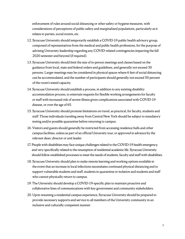enforcement of rules around social distancing or other safety or hygiene measures, with considerations of perceptions of public safety and marginalized populations, particularly as it relates to parties, social events, etc.

- 12. Syracuse University should temporarily establish a COVID-19 public health advisory group, composed of representatives from the medical and public health professions, for the purpose of advising University leadership regarding any COVID-related contingencies impacting the fall 2020 semester and beyond (if required).
- 13. Syracuse University should limit the size of in-person meetings and classes based on the guidance from local, state and federal orders and guidelines, and generally not exceed 30 persons. Larger meetings may be considered in physical spaces where 6 feet of social distancing can be accommodated, and the number of participants should generally not exceed 50 percent of the room's stated capacity.
- 14. Syracuse University should establish a process, in addition to any existing disability accommodation process, to entertain requests for flexible working arrangements for faculty or staff with increased risk of severe illness given complications associated with COVID-19 disease, or over the age of 65.
- 15. Syracuse University should promote limitations on travel, as practical, for faculty, students and staff. Those individuals traveling away from Central New York should be subject to mandatory testing and/or possible quarantine before returning to campus.
- 16. Visitors and guests should generally be restricted from accessing residence halls and other campus facilities, unless as part of an official University tour, or approved in advance by the relevant dean, director or unit leader.
- 17. People with disabilities may face unique challenges related to the COVID-19 health emergency, and very specifically related to the resumption of residential academic life. Syracuse University should follow established processes to meet the needs of students, faculty and staff with disabilities.
- 18. Syracuse University should plan to make remote learning and working options available in the event that an increase in local infections necessitates continued physical distancing and to support vulnerable students and staff, students in quarantine or isolation and students and staff who cannot physically return to campus.
- 19. The University should develop a COVID-19-specific plan to maintain proactive and collaborative lines of communications with key government and community stakeholders.
- 20. Upon resuming a residential campus experience, Syracuse University should be prepared to provide necessary supports and service to all members of the University community in an inclusive and culturally competent manner.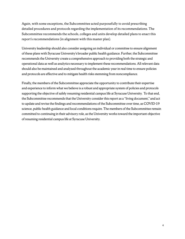Again, with some exceptions, the Subcommittee acted purposefully to avoid prescribing detailed procedures and protocols regarding the implementation of its recommendations. The Subcommittee recommends the schools, colleges and units develop detailed plans to enact this report's recommendations (in alignment with this master plan).

University leadership should also consider assigning an individual or committee to ensure alignment of these plans with Syracuse University's broader public health guidance. Further, the Subcommittee recommends the University create a comprehensive approach to providing both the strategic and operational data as well as analytics necessary to implement these recommendations. All relevant data should also be maintained and analyzed throughout the academic year in real time to ensure policies and protocols are effective and to mitigate health risks stemming from noncompliance.

Finally, the members of the Subcommittee appreciate the opportunity to contribute their expertise and experience to inform what we believe is a robust and appropriate system of policies and protocols supporting the objective of safely resuming residential campus life at Syracuse University. To that end, the Subcommittee recommends that the University consider this report as a "living document," and act to update and revise the findings and recommendations of the Subcommittee over time, as COVID-19 science, public health guidance and local conditions require. The members of the Subcommittee remain committed to continuing in their advisory role, as the University works toward the important objective of resuming residential campus life at Syracuse University.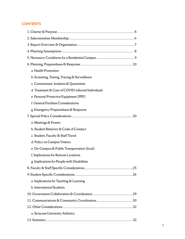# **CONTENTS**

| a. Health Promotion                               |
|---------------------------------------------------|
| b. Screening, Testing, Tracing & Surveillance     |
| c. Containment, Isolation & Quarantine            |
| d. Treatment & Care of COVID-infected Individuals |
| e. Personal Protective Equipment (PPE)            |
| f. General Facilities Considerations              |
| g. Emergency Preparedness & Response              |
|                                                   |
| a. Meetings & Events                              |
| b. Student Behavior & Code of Conduct             |
| c. Student, Faculty & Staff Travel                |
| d. Policy on Campus Visitors                      |
| e. On-Campus & Public Transportation (local)      |
| f. Implications for Remote Locations              |
| g. Implications for People with Disabilities      |
|                                                   |
|                                                   |
| a. Implications for Teaching & Learning           |
| b. International Students                         |
|                                                   |
|                                                   |
|                                                   |
| a. Syracuse University Athletics                  |
|                                                   |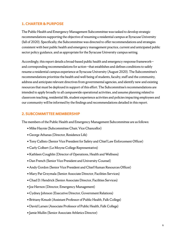## **1. CHARTER & PURPOSE**

The Public Health and Emergency Management Subcommittee was tasked to develop strategic recommendations supporting the objective of resuming a residential campus at Syracuse University (fall of 2020). Specifically, the Subcommittee was directed to offer recommendations and strategies consistent with best public health and emergency management practice, current and anticipated public sector policy guidance, and as appropriate for the Syracuse University campus setting.

Accordingly, this report details a broad-based public health and emergency response framework and corresponding recommendations for action—that establishes and defines conditions to safely resume a residential campus experience at Syracuse University (August 2020). The Subcommittee's recommendations prioritize the health and well-being of students, faculty, staff and the community, address and anticipate relevant directives from governmental agencies, and identify new and existing resources that must be deployed in support of this effort. The Subcommittee's recommendations are intended to apply broadly to all campuswide operational activities, and assume planning related to classroom teaching, residential life, student experience activities and policies impacting employees and our community will be informed by the findings and recommendations detailed in this report.

# **2. SUBCOMMITTEE MEMBERSHIP**

The members of the Public Health and Emergency Management Subcommittee are as follows:

- Mike Haynie (Subcommittee Chair, Vice Chancellor)
- George Athanas (Director, Residence Life)
- Tony Callisto (Senior Vice President for Safety and Chief Law Enforcement Officer)
- Carly Colbert (Le Moyne College Representative)
- Kathleen Coughlin (Director of Operations, Health and Wellness)
- Dan French (Senior Vice President and University Counsel)
- Andy Gordon (Senior Vice President and Chief Human Resources Officer)
- Mary Pat Grzymala (Senior Associate Director, Facilities Services)
- Chad D. Hendrick (Senior Associate Director, Facilities Services)
- Joe Hernon (Director, Emergency Management)
- Cydney Johnson (Executive Director, Government Relations)
- Brittany Kmush (Assistant Professor of Public Health, Falk College)
- David Larsen (Associate Professor of Public Health, Falk College)
- Jamie Mullin (Senior Associate Athletics Director)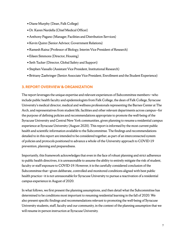- Diane Murphy (Dean, Falk College)
- Dr. Karen Nardella (Chief Medical Officer)
- Anthony Pagano (Manager, Facilities and Distribution Services)
- Kevin Quinn (Senior Advisor, Government Relations)
- Ramesh Raina (Professor of Biology, Interim Vice President of Research)
- Eileen Simmons (Director, Housing)
- Seth Tucker (Director, Global Safety and Support)
- Stephen Vassallo (Assistant Vice President, Institutional Research)
- Brittany Zaehringer (Senior Associate Vice President, Enrollment and the Student Experience)

## **3. REPORT OVERVIEW & ORGANIZATION**

The report leverages the unique expertise and relevant experiences of Subcommittee members—who include public health faculty and epidemiologists from Falk College, the dean of Falk College, Syracuse University's medical director, medical and wellness professionals representing the Barnes Center at The Arch, and representatives from student life, facilities and other relevant departments across campus—for the purpose of defining policies and recommendations appropriate to promote the well-being of the Syracuse University and Central New York communities, given planning to resume a residential campus experience at Syracuse University (August 2020). This report is informed by the most current public health and scientific information available to the Subcommittee. The findings and recommendations detailed to in this report are intended to be considered together, as part of an interconnected system of policies and protocols positioned to advance a whole-of-the-University approach to COVID-19 prevention, planning and preparedness.

Importantly, this framework acknowledges that even in the face of robust planning and strict adherence to public health directives, it is unreasonable to assume the ability to entirely mitigate the risk of student, faculty or staff exposure to COVID-19. However, it is the carefully considered conclusion of the Subcommittee that—given deliberate, controlled and monitored conditions aligned with best public health practice—it is not unreasonable for Syracuse University to pursue a reactivation of a residential campus experience in August of 2020.

In what follows, we first present the planning assumptions, and then detail what the Subcommittee has determined to be conditions most important to resuming residential learning in the fall of 2020. We also present specific findings and recommendations relevant to promoting the well-being of Syracuse University students, staff, faculty and our community, in the context of the planning assumption that we will resume in-person instruction at Syracuse University.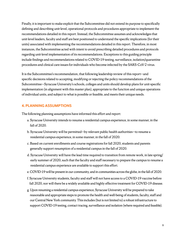Finally, it is important to make explicit that the Subcommittee did not extend its purpose to specifically defining and describing unit-level, operational protocols and procedures appropriate to implement the recommendations detailed in this report. Instead, the Subcommittee assumes and acknowledges that unit-level leaders, faculty and staff are best positioned to understand the specific implications (for their units) associated with implementing the recommendations detailed in this report. Therefore, in most instances, the Subcommittee acted with intent to avoid prescribing detailed procedures and protocols regarding unit-level implementation of its recommendations. Exceptions to this guiding principle include findings and recommendations related to COVID-19 testing, surveillance, isolation/quarantine procedures and clinical care issues for individuals who become infected by the SARS-CoV-2 virus.

It is the Subcommittee's recommendation, that following leadership review of this report—and specific decisions related to accepting, modifying or rejecting the policy recommendations of the Subcommittee—Syracuse University's schools, colleges and units should develop plans for unit-specific implementation (in alignment with this master plan), appropriate to the function and unique operations of individual units, and subject to what is possible or feasible, and meets their unique needs.

# **4. PLANNING ASSUMPTIONS**

The following planning assumptions have informed this effort and report:

- a. Syracuse University intends to resume a residential campus experience, in some manner, in the fall of 2020.
- b. Syracuse University will be permitted—by relevant public health authorities—to resume a residential campus experience, in some manner, in the fall of 2020.
- c. Based on current enrollments and course registrations for fall 2020, students and parents generally support resumption of a residential campus in the fall of 2020.
- d. Syracuse University will have the lead time required to transition from remote work, in late spring/ early summer of 2020, such that the faculty and staff necessary to prepare the campus to resume a residential campus experience are available to support this effort.
- e. COVID-19 will be present in our community, and in communities across the globe, in the fall of 2020.
- f. Syracuse University students, faculty and staff will not have access to a COVID-19 vaccine before fall 2020, nor will there be a widely available and highly effective treatment for COVID-19 disease.
- g. Upon resuming a residential campus experience, Syracuse University will be prepared to take reasonable and appropriate steps to promote the health and well-being of students, faculty, staff and our Central New York community. This includes (but is not limited to) a robust infrastructure to support COVID-19 testing, contact tracing, surveillance and isolation (where required and feasible).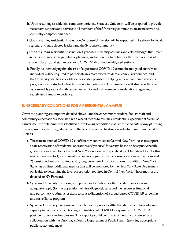- h. Upon resuming a residential campus experience, Syracuse University will be prepared to provide necessary supports and service to all members of the University community, in an inclusive and culturally competent manner.
- i. Upon resuming residential instruction, Syracuse University will be supported in its efforts by local, regional and state elected leaders and the Syracuse community.
- j. Upon resuming residential instruction, Syracuse University assumes and acknowledges that-even in the face of robust preparedness, planning, and adherence to public health directives—risk of student, faculty and staff exposure to COVID-19 cannot be mitigated entirely.
- k. Finally, acknowledging that the risk of exposure to COVID-19 cannot be mitigated entirely, no individual will be required to participate in a reactivated residential campus experience, and the University will be as flexible as reasonably possible in helping achieve continued academic progress for any student who chooses not to participate. The University will also be as flexible as reasonably practical with respect to faculty and staff member considerations regarding a reactivated campus experience.

# **5. NECESSARY CONDITIONS FOR A RESIDENTIAL CAMPUS**

Given the planning assumptions detailed above—and the concomitant student, faculty, staff and community expectations associated with what it means to resume a residential experience at Syracuse University—the Subcommittee identified the following "conditions" as *central elements of any planning and preparedness strategy*, aligned with the objective of reactivating a residential campus in the fall of 2020:

- a. The transmission of COVID-19 is sufficiently controlled in Central New York, so as to support a safe reactivation of residential operations at Syracuse University. Based on best public health guidance, as applied to the Central New York region—and specifically in Onondaga County, this metric translates to 1) a sustained low and not significantly increasing rate of new infections and 2) a sustained low and not-increasing long-term rate of hospitalizations. In addition, New York State has outlined additional metrics that will be monitored by the New York State Department of Health, to determine the level of restriction required in Central New York. Those metrics are detailed at: [NY Forward.](https://www.governor.ny.gov/sites/governor.ny.gov/files/atoms/files/NYForwardReopeningGuide.pdf)
- b. Syracuse University—working with public-sector public health officials—can access an adequate supply (for the population) of viral diagnostic tests and the resources (financial and personnel) to administer those tests as a dimension of a broad-based COVID-19 screening and surveillance program.
- c. Syracuse University—working with public-sector public health officials—can confirm adequate capacity to conduct contact tracing and isolation of COVID-19 exposed and COVID-19 positive students and employees. This capacity could be sourced internally or sourced as a collaboration with the Onondaga County Department of Public Health (pending appropriate public-sector guidance).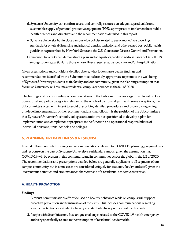- d. Syracuse University can confirm access and centrally resource an adequate, predictable and sustainable supply of personal protective equipment (PPE), appropriate to implement best public health practices and directives and the recommendations detailed in this report.
- e. Syracuse University has in place campuswide policies related to use of masks/face coverings, standards for physical distancing and physical density, sanitation and other related best public health guidelines as prescribed by New York State and the U.S. Centers for Disease Control and Prevention.
- f. Syracuse University can demonstrate a plan and adequate capacity to address cases of COVID-19 among students, particularly those whose illness requires advanced care and/or hospitalization.

Given assumptions and conditions detailed above, what follows are specific findings and recommendations identified by the Subcommittee, as broadly appropriate to promote the well-being of Syracuse University students, staff, faculty and our community, given the planning assumption that Syracuse University will resume a residential campus experience in the fall of 2020.

The findings and corresponding recommendations of the Subcommittee are organized based on key operational and policy categories relevant to the whole of campus. Again, with some exceptions, the Subcommittee acted with intent to avoid prescribing detailed procedures and protocols regarding unit-level implementation of the recommendations that follow. It is the position of the Subcommittee that Syracuse University's schools, colleges and units are best positioned to develop a plan for implementation and compliance appropriate to the function and operational responsibilities of individual divisions, units, schools and colleges.

# **6. PLANNING, PREPAREDNESS & RESPONSE**

In what follows, we detail findings and recommendations relevant to COVID-19 planning, preparedness and response on the part of Syracuse University's residential campus, given the assumption that COVID-19 will be present in this community, and in communities across the globe, in the fall of 2020. The recommendations and prescriptions detailed below are generally applicable to all segments of our campus community, but in some cases are considered uniquely for students, faculty and staff, given the idiosyncratic activities and circumstances characteristic of a residential academic enterprise.

# **A. HEALTH PROMOTION**

- 1. A robust communications effort focused on healthy behaviors while on campus will support proactive prevention and transmission of the virus. This includes communications regarding specific protections for students, faculty and staff who have predisposed medical risk.
- 2. People with disabilities may face unique challenges related to the COVID-19 health emergency, and very specifically related to the resumption of residential academic life.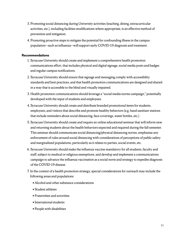- 3. Promoting social distancing during University activities (teaching, dining, extracurricular activities, etc.), including facilities modifications where appropriate, is an effective method of prevention and mitigation.
- 4. Promoting proactive steps to mitigate the potential for confounding illness in the campus population—such as influenza—will support early COVID-19 diagnosis and treatment.

- 1. Syracuse University should create and implement a comprehensive health promotion communications effort, that includes physical and digital signage, social media posts and badges and regular campus notifications.
- 2. Syracuse University should ensure that signage and messaging comply with accessibility standards and best practices, and that health promotion communications are designed and shared in a way that is accessible to the blind and visually impaired.
- 3. Health promotion communications should leverage a "social media norms campaign," potentially developed with the input of students and employees.
- 4. Syracuse University should create and distribute branded promotional items for students, employees, and visitors that describe and promote healthy behaviors (e.g. hand sanitizer stations that include reminders about social distancing, face coverings, water bottles, etc.).
- 5. Syracuse University should create and require an online educational seminar that will inform new and returning students about the health behaviors expected and required during the fall semester. This seminar should communicate social distancing/physical distancing norms, emphasize any enforcement of rules around social distancing with considerations of perceptions of public safety and marginalized populations, particularly as it relates to parties, social events, etc.
- 6. Syracuse University should make the influenza vaccine mandatory for all students, faculty and staff, subject to medical or religious exemptions, and develop and implement a communications campaign to advance the influenza vaccination as a social norm and strategy to expedite diagnosis of the COVID-19 disease.
- 7. In the context of a health promotion strategy, special considerations for outreach may include the following areas and populations:
	- Alcohol and other substance considerations
	- Student athletes
	- Fraternities and sororities
	- International students
	- People with disabilities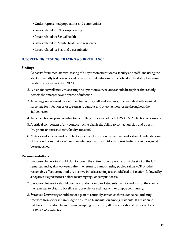- Under-represented populations and communities
- Issues related to: Off-campus living
- Issues related to: Sexual health
- Issues related to: Mental health and resiliency
- Issues related to: Bias and discrimination

## **B. SCREENING, TESTING, TRACING & SURVEILLANCE**

#### **Findings**

- 1. Capacity for immediate viral testing of all symptomatic students, faculty and staff—including the ability to rapidly test contacts and isolate infected individuals— is critical to the ability to resume residential activities in fall 2020.
- 2. A plan for surveillance virus testing and symptom surveillance should be in place that readily detects the emergence and spread of infection.
- 3. A testing process must be identified for faculty, staff and students, that includes both an initial screening for infection prior to return to campus and ongoing monitoring throughout the fall semester.
- 4. A contact tracing plan is central to controlling the spread of the SARS-CoV-2 infection on campus.
- 5. A critical component of any contact tracing plan is the ability to contact quickly and directly (by phone or text) students, faculty and staff.
- 6. Metrics and a framework to detect any surge of infection on campus, and a shared understanding of the conditions that would require interruption or a shutdown of residential instruction, must be established.

- 1. Syracuse University should plan to screen the entire student population at the start of the fall semester, and again two weeks after the return to campus, using pooled saliva PCR or other reasonably effective methods. A positive initial screening test should lead to isolation, followed by a negative diagnostic test before resuming regular campus access.
- 2. Syracuse University should pursue a random sample of students, faculty and staff at the start of the semester to obtain a baseline seroprevalence estimate of the campus community.
- 3. Syracuse University should enact a plan to routinely screen each residence hall utilizing freedom from disease sampling to ensure no transmission among residents. If a residence hall fails the freedom from disease sampling procedure, all residents should be tested for a SARS-CoV-2 infection.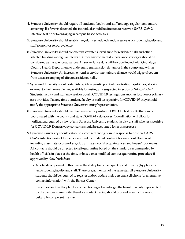- 4. Syracuse University should require all students, faculty and staff undergo regular temperature screening. If a fever is detected, the individual should be directed to receive a SARS-CoV-2 infection test prior to engaging in campus-based activities.
- 5. Syracuse University should establish regularly scheduled random surveys of students, faculty and staff to monitor seroprevalence.
- 6. Syracuse University should conduct wastewater surveillance for residence halls and other selected buildings at regular intervals. Other environmental surveillance strategies should be considered as the science advances. All surveillance data will be coordinated with Onondaga County Health Department to understand transmission dynamics in the county and within Syracuse University. An increasing trend in environmental surveillance would trigger freedom from disease sampling of affected residence halls.
- 7. Syracuse University should establish rapid diagnostic point-of-care testing capabilities, at a site external to the Barnes Center, available for testing any suspected infection of SARS-CoV-2. Students, faculty and staff may seek or obtain COVID-19 testing from another location or primary care provider. If at any time a student, faculty or staff tests positive for COVID-19 they should notify the appropriate Syracuse University entity/representative.
- 8. Syracuse University should maintain a record of positive COVID-19 test results that can be coordinated with the county and state COVID-19 databases. Coordination will allow for notification, required by law, of any Syracuse University student, faculty or staff who tests positive for COVID-19. Data privacy concerns should be accounted for in this process.
- 9. Syracuse University should establish a contact tracing plan in response to positive SARS-CoV-2 infection tests. Contacts identified by qualified contract tracers should be traced including classmates, co-workers, club affiliates, social acquaintances and house/floor mates. All contacts should be directed to self-quarantine based on the standard recommended by health officials in place at the time, or based on a modified campus quarantine procedure if approved by New York State.
	- a. A critical component of this plan is the ability to contact quickly and directly (by phone or text) students, faculty and staff. Therefore, at the start of the semester, all Syracuse University students should be required to register and/or update their personal cell phone (or alternative contact information) with the Barnes Center.
	- b. It is important that the plan for contact tracing acknowledges the broad diversity represented by the campus community, therefore contact tracing should proceed in an inclusive and culturally competent manner.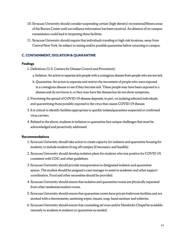- 10. Syracuse University should consider suspending certain (high-density) recreational/fitness areas of the Barnes Center until surveillance information has been received. An absence of on-campus transmission could lead to reopening these facilities.
- 11. Syracuse University should require that individuals traveling to high-risk locations, away from Central New York, be subject to testing and/or possible quarantine before returning to campus.

# **C. CONTAINMENT, ISOLATION & QUARANTINE**

## **Findings**

- 1. Definitions (U.S. Centers for Disease Control and Prevention):
	- a. Isolation: An action to separate sick people with a contagious disease from people who are not sick.
	- b. Quarantine: An action to separate and restrict the movement of people who were exposed to a contagious disease to see if they become sick. These people may have been exposed to a disease and do not know it, or they may have the disease but do not show symptoms.
- 2. Preventing the spread of COVID-19 disease depends, in part, on isolating infected individuals, and quarantining those possibly exposed to the virus that causes COVID-19 disease.
- 3. It is critical to identify facilities appropriate to quickly isolate/quarantine suspected or confirmed virus carriers.
- 4. Related to the above, students in isolation or quarantine face unique challenges that must be acknowledged and proactively addressed.

- 1. Syracuse University should take action to create capacity for isolation and quarantine housing for students, to include students living off-campus (if necessary and feasible).
- 2. Syracuse University should develop isolation plans for students who test positive for COVID-19, consistent with CDC and other guidelines.
- 3. Syracuse University should provide transportation to designated isolation and quarantine spaces. The student should be assigned a case manager to assist in academic and other support coordination. Food and other necessities should be provided.
- 4. Syracuse University should ensure that isolation and quarantine rooms are physically separated from other residential student rooms.
- 5. Syracuse University should ensure that quarantine rooms have private bathroom facilities and are stocked with a thermometer, sanitizing wipes, tissues, soap, hand sanitizer and toiletries.
- 6. Syracuse University should ensure that counseling services and/or Hendricks Chapel be available remotely to students in isolation or quarantine as needed.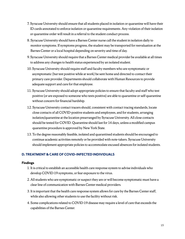- 7. Syracuse University should ensure that all students placed in isolation or quarantine will have their ID cards annotated to enforce isolation or quarantine requirements. Any violation of their isolation or quarantine order will result in a referral to the student conduct process.
- 8. Syracuse University should have a Barnes Center nurse call the student in isolation daily to monitor symptoms. If symptoms progress, the student may be transported for reevaluation at the Barnes Center or a local hospital depending on severity and time of day.
- 9. Syracuse University should require that a Barnes Center medical provider be available at all times to address any changes to health status experienced by an isolated student.
- 10. Syracuse University should require staff and faculty members who are symptomatic or asymptomatic (but test positive while at work) be sent home and directed to contact their primary care provider. Departments should collaborate with Human Resources to provide adequate support and care for that employee.
- 11. Syracuse University should adopt appropriate policies to ensure that faculty and staff who test positive (or are exposed to someone who tests positive) are able to quarantine or self-quarantine without concern for financial hardship.
- 12. Syracuse University contact tracers should, consistent with contact tracing standards, locate close contacts of all COVID-positive students and employees, and for students, arranging isolation/quarantine at the location prearranged by Syracuse University. All close contacts should be tested for COVID. Quarantine should last for 14 days, unless a modified campus quarantine procedure is approved by New York State.
- 13. To the degree reasonably feasible, isolated and quarantined students should be encouraged to continue academic activities remotely or be provided with note-takers. Syracuse University should implement appropriate policies to accommodate excused absences for isolated students.

# **D. TREATMENT & CARE OF COVID-INFECTED INDIVIDUALS**

- 1. It is critical to establish an accessible health care response system to advise individuals who develop COVID-19 symptoms, or fear exposure to the virus.
- 2. All students who are symptomatic or suspect they are or will become symptomatic must have a clear line of communication with Barnes Center medical providers.
- 3. It is important that the health care response system allows for care by the Barnes Center staff, while also allowing other students to use the facility without risk.
- 4. Some complications related to COVID-19 disease may require a level of care that exceeds the capabilities of the Barnes Center.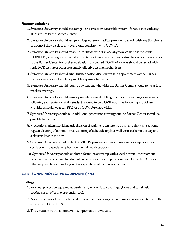### **Recommendations**

- 1. Syracuse University should encourage—and create an accessible system—for students with any illness to notify the Barnes Center.
- 2. Syracuse University should assign a triage nurse or medical provider to speak with any (by phone or zoom) if they disclose any symptoms consistent with COVID.
- 3. Syracuse University should establish, for those who disclose any symptoms consistent with COVID-19, a testing site external to the Barnes Center and require testing before a student comes to the Barnes Center for further evaluation. Suspected COVID-19 cases should be tested with rapid PCR testing or other reasonably effective testing mechanisms.
- 4. Syracuse University should, until further notice, disallow walk-in appointments at the Barnes Center as a strategy to reduce possible exposure to the virus.
- 5. Syracuse University should require any student who visits the Barnes Center should to wear face masks/coverings.
- 6. Syracuse University should ensure procedures meet CDC guidelines for cleaning exam rooms following each patient visit if a student is found to be COVID-positive following a rapid test. Providers should wear full PPE for all COVID-related visits.
- 7. Syracuse University should take additional precautions throughout the Barnes Center to reduce possible transmission.
- 8. Precautions taken should include division of waiting room into well visit and sick visit sections, regular cleaning of common areas, splitting of schedule to place well visits earlier in the day and sick visits later in the day.
- 9. Syracuse University should refer COVID-19-positive students to necessary campus support services with a special emphasis on mental health supports.
- 10. Syracuse University should explore a formal relationship with a local hospital, to streamline access to advanced care for students who experience complications from COVID-19 disease that require clinical care beyond the capabilities of the Barnes Center.

# **E. PERSONAL PROTECTIVE EQUIPMENT (PPE)**

- 1. Personal protective equipment, particularly masks, face coverings, gloves and sanitization products is an effective prevention tool.
- 2. Appropriate use of face masks or alternative face coverings can minimize risks associated with the exposure to COVID-19.
- 3. The virus can be transmitted via asymptomatic individuals.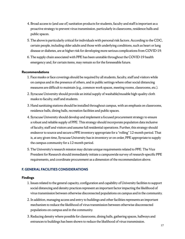- 4. Broad access to (and use of) sanitation products for students, faculty and staff is important as a proactive strategy to prevent virus transmission, particularly in classrooms, residence halls and public spaces.
- 5. The above is particularly critical for individuals with personal risk factors. [According to the CDC,](https://www.cdc.gov/coronavirus/2019-ncov/need-extra-precautions/people-at-higher-risk.html) certain people, including older adults and those with underlying conditions, such as heart or lung disease or diabetes, are at higher risk for developing more serious complications from COVID-19.
- 6. The supply chain associated with PPE has been unstable throughout the COVID-19 health emergency and, for certain items, may remain so for the foreseeable future.

## **Recommendations**

- 1. Face masks or face coverings should be required by all students, faculty, staff and visitors while on campus and in the presence of others, and in public settings where other social distancing measures are difficult to maintain (e.g., common work spaces, meeting rooms, classrooms, etc.).
- 2. Syracuse University should provide an initial supply of washable/reusable high-quality cloth masks to faculty, staff and students.
- 3. Hand sanitizing stations should be installed throughout campus, with an emphasis on classrooms, residence halls, dining halls, recreation facilities and public spaces.
- 4. Syracuse University should develop and implement a focused procurement strategy to ensure a robust and reliable supply of PPE. This strategy should incorporate population data inclusive of faculty, staff and visitors and assume full residential operations. Further, this strategy should endeavor to source and secure a PPE inventory appropriate for a "rolling" 12-month period. That is, at any given time, Syracuse University has in inventory or on order, PPE appropriate to supply the campus community for a 12-month period.
- 5. The University's research mission may dictate unique requirements related to PPE. The Vice President for Research should immediately initiate a campuswide survey of research-specific PPE requirements, and coordinate procurement as a dimension of the recommendation above.

# **F. GENERAL FACILITIES CONSIDERATIONS**

- 1. Issues related to the general capacity, configuration and capability of University facilities to support social distancing and density practices represent an important factor impacting the likelihood of virus transmission between otherwise disconnected populations on campus and in the community.
- 2. In addition, managing access and entry to buildings and other facilities represents an important mechanism to reduce the likelihood of virus transmission between otherwise disconnected populations on campus and in the community.
- 3. Reducing density where possible for classrooms, dining halls, gathering spaces, hallways and entrances to buildings has been shown to reduce the likelihood of virus transmission.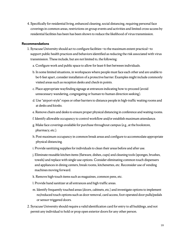4. Specifically for residential living, enhanced cleaning, social distancing, requiring personal face coverings in common areas, restrictions on group events and activities and limited cross-access by residential facilities has been has been shown to reduce the likelihood of virus transmission.

- 1. Syracuse University should act to configure facilities—to the maximum extent practical—to support public health practices and behaviors identified as reducing the risk associated with virus transmission. These include, but are not limited to, the following:
	- a. Configure work and public space to allow for least 6 feet between individuals.
	- b. In some limited situations, in workspaces where people must face each other and are unable to be 6 feet apart, consider installation of a protective barrier. Examples might include commonly visited areas such as reception desks and check-in points.
	- c. Place appropriate wayfinding signage at entrances indicating how to proceed (avoid unnecessary wandering, congregating or human-to-human direction seeking).
	- d. Use "airport-style" ropes or other barriers to distance people in high-traffic waiting rooms and at desks and kiosks.
	- e. Remove chairs and desks to ensure proper physical distancing in conference and waiting rooms.
	- f. Identify allowable occupancy to control workflow and/or establish maximum attendance.
	- g. Make face coverings available for purchase throughout campus (e.g., at the bookstore, pharmacy, etc.).
	- h. Post maximum occupancy in common break areas and configure to accommodate appropriate physical distancing.
	- i. Provide sanitizing supplies for individuals to clean their areas before and after use.
	- j. Eliminate reusable kitchen items (flatware, dishes, cups) and cleaning tools (sponges, brushes, towels) and replace with single-use options. Consider eliminating common touch dispensers and appliances in dining centers, break rooms, kitchenettes, etc. Reconsider use of vending machines moving forward.
	- k. Remove high-touch items such as magazines, common pens, etc.
	- l. Provide hand sanitizer at all entrances and high-traffic areas.
	- m. Identify frequently touched areas (doors, cabinets, etc.) and investigate options to implement no/reduced touch options such as door removal, card access, foot-operated door pulls/pedals or sensor-triggered doors.
- 2. Syracuse University should require a valid identification card for entry to all buildings, and not permit any individual to hold or prop open exterior doors for any other person.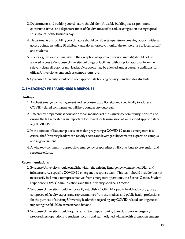- 3. Departments and building coordinators should identify usable building access points and coordinate arrival and departure times of faculty and staff to reduce congestion during typical "rush hours" of the business day.
- 4. Departments and building coordinators should consider temperature screening opportunities at access points, including Bird Library and dormitories, to monitor the temperature of faculty, staff and students.
- 5. Visitors, guests and animals (with the exception of approved service animals) should not be allowed access to Syracuse University buildings or facilities, without prior approval from the relevant dean, director or unit leader. Exceptions may be allowed, under certain conditions, for official University events such as campus tours, etc.
- 6. Syracuse University should consider appropriate housing density standards for students.

# **G. EMERGENCY PREPAREDNESS & RESPONSE**

### **Findings**

- 1. A robust emergency management and response capability, situated specifically to address COVID-related contingencies, will help contain any outbreak.
- 2. Emergency preparedness education for all members of the University community, prior, to and during the fall semester, is an important tool to reduce transmission of, or respond appropriately to, COVID-19.
- 3. In the context of leadership decision-making regarding a COVID-19 related emergency, it is critical the University leaders can readily access and leverage subject matter experts on campus and in government.
- 4. A whole-of-community approach to emergency preparedness will contribute to prevention and response efforts.

- 1. Syracuse University should establish, within the existing Emergency Management Plan and infrastructure, a specific COVID-19 emergency response team. This team should include (but not necessarily be limited to) representatives from emergency operations, the Barnes Center, Student Experience, DPS, Communications and the University Medical Director.
- 2. Syracuse University should temporarily establish a COVID-19 public health advisory group, composed of faculty experts and representatives from the medical and public health professions, for the purpose of advising University leadership regarding any COVID-related contingencies impacting the fall 2020 semester and beyond.
- 3. Syracuse University should require return to campus training to explain basic emergency preparedness operations to students, faculty and staff. Aligned with a health promotion strategy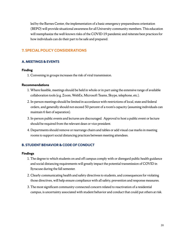led by the Barnes Center, the implementation of a basic emergency preparedness orientation (BEPO) will provide situational awareness for all University community members. This education will reemphasize the well-known risks of the COVID-19 pandemic and reiterate best practices for how individuals can do their part to be safe and prepared.

# **7. SPECIAL POLICY CONSIDERATIONS**

## **A. MEETINGS & EVENTS**

#### **Finding**

1. Convening in groups increases the risk of viral transmission.

#### **Recommendations**

- 1. Where feasible, meetings should be held in whole or in part using the extensive range of available collaboration tools (e.g. Zoom, WebEx, Microsoft Teams, Skype, telephone, etc.).
- 2. In-person meetings should be limited in accordance with restrictions of local, state and federal orders, and generally should not exceed 50 percent of a room's capacity (assuming individuals can maintain 6 feet of separation).
- 3. In-person public events and lectures are discouraged. Approval to host a public event or lecture should be required from the relevant dean or vice president.
- 4. Departments should remove or rearrange chairs and tables or add visual cue marks in meeting rooms to support social distancing practices between meeting attendees.

## **B. STUDENT BEHAVIOR & CODE OF CONDUCT**

- 1. The degree to which students on and off campus comply with or disregard public health guidance and social distancing requirements will greatly impact the potential transmission of COVID in Syracuse during the fall semester.
- 2. Clearly communicating health and safety directives to students, and consequences for violating those directives, will help ensure compliance with all safety, prevention and response measures.
- 3. The most significant community-connected concern related to reactivation of a residential campus, is uncertainty associated with student behavior and conduct that could put others at risk.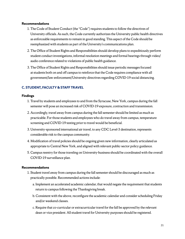### **Recommendations**

- 1. The Code of Student Conduct (the "Code") requires students to follow the directives of University officials. As such, the Code currently authorizes the University public health directives as enforceable requirements to remain in good standing. This aspect of the Code should be reemphasized with students as part of the University's communications plan.
- 2. The Office of Student Rights and Responsibilities should develop plans to expeditiously perform student conduct investigations, informal resolution meetings and formal hearings through video/ audio conference related to violations of public health guidance.
- 3. The Office of Student Rights and Responsibilities should issue periodic messages focused at students both on and off campus to reinforce that the Code requires compliance with all government/law enforcement/University directives regarding COVID-19 social distancing.

# **C. STUDENT, FACULTY & STAFF TRAVEL**

### **Findings**

- 1. Travel by students and employees to and from the Syracuse, New York, campus during the fall semester will pose an increased risk of COVID-19 exposure, contraction and transmission.
- 2. Accordingly, travel away from campus during the fall semester should be limited as much as practicable. For those students and employees who do travel away from campus, temperature screening and COVID-19 testing prior to travel would be beneficial.
- 3. University-sponsored international air travel, to any CDC Level-3 destination, represents considerable risk to the campus community.
- 4. Modification of travel policies should be ongoing given new information, clearly articulated as appropriate to Central New York, and aligned with relevant public-sector policy guidance.
- 5. Campus reentry for those traveling on University-business should be coordinated with the overall COVID-19 surveillance plan.

- 1. Student travel away from campus during the fall semester should be discouraged as much as practically possible. Recommended actions include:
	- a. Implement an accelerated academic calendar, that would negate the requirement that students return to campus following the Thanksgiving break.
	- b. Consistent with the above, reconfigure the academic calendar and consider scheduling Friday and/or weekend classes.
	- c. Require that co-curricular or extracurricular travel for the fall be approved by the relevant dean or vice president. All student travel for University purposes should be registered.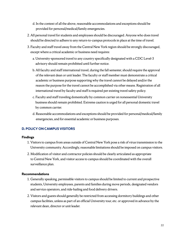- d. In the context of all the above, reasonable accommodations and exceptions should be provided for personal/medical/family emergencies.
- 2. All personal travel for students and employees should be discouraged. Anyone who does travel should be directed to adhere to any return-to-campus protocols in place at the time of travel.
- 3. Faculty and staff travel away from the Central New York region should be strongly discouraged, except where a critical academic or business need requires:
	- a. University-sponsored travel to any country specifically designated with a CDC Level-3 advisory should remain prohibited until further notice.
	- b. All faculty and staff international travel, during the fall semester, should require the approval of the relevant dean or unit leader. The faculty or staff member must demonstrate a critical academic or business purpose supporting why the travel cannot be delayed and/or the reason the purpose for the travel cannot be accomplished via other means. Registration of all international travel by faculty and staff is required per existing travel safety policy.
	- c. Faculty and staff traveling domestically by common carrier on nonessential University business should remain prohibited. Extreme caution is urged for all personal domestic travel by common carrier.
	- d. Reasonable accommodations and exceptions should be provided for personal/medical/family emergencies, and for essential academic or business purposes.

# **D. POLICY ON CAMPUS VISITORS**

#### **Findings**

- 1. Visitors to campus from areas outside of Central New York pose a risk of virus transmission to the University community. Accordingly, reasonable limitations should be imposed on campus visitors.
- 2. Modification of visitor and contractor policies should be clearly articulated as appropriate to Central New York, and visitor access to campus should be coordinated with the overall surveillance plan.

- 1. Generally speaking, permissible visitors to campus should be limited to current and prospective students, University employees, parents and families during move periods, designated vendors and service operators, and ride-hailing and food delivery drivers.
- 2. Visitors and guests should generally be restricted from accessing dormitory buildings and other campus facilities, unless as part of an official University tour, etc. or approved in advance by the relevant dean, director or unit leader.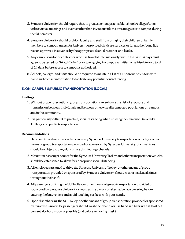- 3. Syracuse University should require that, to greatest extent practicable, schools/colleges/units utilize virtual meetings and events rather than invite outside visitors and guests to campus during the fall semester.
- 4. Syracuse University should prohibit faculty and staff from bringing their children or family members to campus, unless for University-provided childcare services or for another bona fide reason approved in advance by the appropriate dean, director or unit leader.
- 5. Any campus visitor or contractor who has traveled internationally within the past 14 days must agree to be tested for SARS-CoV-2 prior to engaging in campus activities, or self-isolate for a total of 14 days before access to campus is authorized.
- 6. Schools, colleges, and units should be required to maintain a list of all nonroutine visitors with name and contact information to facilitate any potential contact tracing.

# **E. ON-CAMPUS & PUBLIC TRANSPORTATION (LOCAL)**

### **Findings**

- 1. Without proper precautions, group transportation can enhance the risk of exposure and transmission between individuals and between otherwise disconnected populations on campus and in the community.
- 2. It is particularly difficult to practice, social distancing when utilizing the Syracuse University Trolley, or on public transportation.

- 1. Hand sanitizer should be available in every Syracuse University transportation vehicle, or other means of group transportation provided or sponsored by Syracuse University. Such vehicles should be subject to a regular surface disinfecting schedule.
- 2. Maximum passenger counts for the Syracuse University Trolley and other transportation vehicles should be established to allow for appropriate social distancing.
- 3. All employees assigned to drive the Syracuse University Trolley, or other means of group transportation provided or sponsored by Syracuse University, should wear a mask at all times throughout their shift.
- 4. All passengers utilizing the SU Trolley, or other means of group transportation provided or sponsored by Syracuse University, should utilize a mask or alternative face covering before entering the bus/vehicle and avoid touching surfaces with your hands.
- 5. Upon disembarking the SU Trolley, or other means of group transportation provided or sponsored by Syracuse University, passengers should wash their hands or use hand sanitizer with at least 60 percent alcohol as soon as possible (and before removing mask).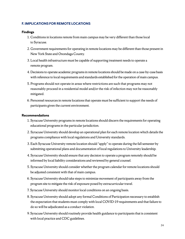## **F. IMPLICATIONS FOR REMOTE LOCATIONS**

### **Findings**

- 1. Conditions in locations remote from main campus may be very different than those local to Syracuse.
- 2. Government requirements for operating in remote locations may be different than those present in New York State and Onondaga County.
- 3. Local health infrastructure must be capable of supporting treatment needs to operate a remote program.
- 4. Decisions to operate academic programs in remote locations should be made on a case-by-case basis with reference to local requirements and standards established for the operation of main campus.
- 5. Programs should not operate in areas where restrictions are such that programs may not reasonably proceed in a residential model and/or the risk of infection may not be reasonably mitigated.
- 6. Personnel resources in remote locations that operate must be sufficient to support the needs of participants given the current environment.

- 1. Syracuse University programs in remote locations should discern the requirements for operating educational programs in the particular jurisdiction.
- 2. Syracuse University should develop an operational plan for each remote location which details the programs compliance with local regulations and University standards.
- 3. Each Syracuse University remote location should "apply" to operate during the fall semester by submitting operational plans and documentation of local regulations to University leadership.
- 4. Syracuse University should ensure that any decision to operate a program remotely should be informed by local liability considerations and reviewed by general counsel.
- 5. Syracuse University should consider whether the program calendar for remote locations should be adjusted consistent with that of main campus.
- 6. Syracuse University should take steps to minimize movement of participants away from the program site to mitigate the risk of exposure posed by extracurricular travel.
- 7. Syracuse University should monitor local conditions on an ongoing basis.
- 8. Syracuse University should adopt any formal Conditions of Participation necessary to establish the expectation that students must comply with local COVID-19 requirements and that failure to do so will be adjudicated as a conduct violation.
- 9. Syracuse University should routinely provide health guidance to participants that is consistent with local practice and CDC guidelines.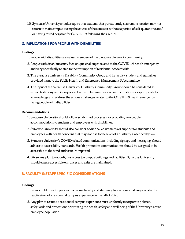10. Syracuse University should require that students that pursue study at a remote location may not return to main campus during the course of the semester without a period of self-quarantine and/ or having tested negative for COVID-19 following their return.

# **G. IMPLICATIONS FOR PEOPLE WITH DISABILITIES**

## **Findings**

- 1. People with disabilities are valued members of the Syracuse University community.
- 2. People with disabilities may face unique challenges related to the COVID-19 health emergency, and very specifically related to the resumption of residential academic life.
- 3. The Syracuse University Disability Community Group and its faculty, student and staff allies provided input to the Public Health and Emergency Management Subcommittee
- 4. The input of the Syracuse University Disability Community Group should be considered as expert testimony and incorporated in the Subcommittee's recommendations, as appropriate to acknowledge and address the unique challenges related to the COVID-19 health emergency facing people with disabilities.

## **Recommendations**

- 1. Syracuse University should follow established processes for providing reasonable accommodations to students and employees with disabilities.
- 2. Syracuse University should also consider additional adjustments or support for students and employees with health concerns that may not rise to the level of a disability as defined by law.
- 3. Syracuse University's COVID-related communications, including signage and messaging, should adhere to accessibility standards. Health promotion communications should be designed to be accessible to the blind and visually impaired.
- 4. Given any plan to reconfigure access to campus buildings and facilities, Syracuse University should ensure accessible entrances and exits are maintained.

# **8. FACULTY & STAFF SPECIFIC CONSIDERATIONS**

- 1. From a public health perspective, some faculty and staff may face unique challenges related to reactivation of a residential campus experience in the fall of 2020.
- 2. Any plan to resume a residential campus experience must uniformly incorporate policies, safeguards and protections prioritizing the health, safety and well-being of the University's entire employee population.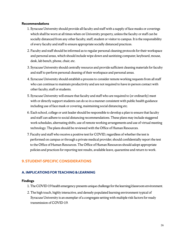### **Recommendations**

- 1. Syracuse University should provide all faculty and staff with a supply of face masks or coverings which shall be worn at all times when on University property, unless the faculty or staff can be socially distanced from any other faculty, staff, student or visitor to campus. It is the responsibility of every faculty and staff to ensure appropriate socially distanced practices.
- 2. Faculty and staff should be informed as to regular personal cleaning protocols for their workspace and personal areas, which should include wipe down and sanitizing computer, keyboard, mouse, desk, lab bench, phone, chair, etc.
- 3. Syracuse University should centrally resource and provide sufficient cleaning materials for faculty and staff to perform personal cleaning of their workspace and personal areas.
- 4. Syracuse University should establish a process to consider remote working requests from all staff who can continue to maintain productivity and are not required to have in-person contact with other faculty, staff or students.
- 5. Syracuse University will ensure that faculty and staff who are required to (or ordinarily) meet with or directly support students can do so in a manner consistent with public health guidance including use of face mask or covering, maintaining social distancing etc.
- 6. Each school, college or unit leader should be responsible to develop a plan to ensure that faculty and staff can adhere to social distancing recommendations. These plans may include staggered work schedules, alternating shifts, use of remote working arrangements and use of virtual meeting technology. The plans should be reviewed with the Office of Human Resources.
- 7. Faculty and staff who receive a positive test for COVID, regardless of whether the test is performed on campus or through a private medical provider, should confidentially report the test to the Office of Human Resources. The Office of Human Resources should adopt appropriate policies and practices for reporting test results, available leave, quarantine and return to work.

# **9. STUDENT-SPECIFIC CONSIDERATIONS**

# **A. IMPLICATIONS FOR TEACHING & LEARNING**

- 1. The COVID-19 health emergency presents unique challenge for the learning/classroom environment.
- 2. The high touch, highly interactive, and densely populated learning environment typical of Syracuse University is an exemplar of a congregate setting with multiple risk factors for ready transmission of COVID-19.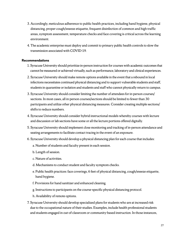- 3. Accordingly, meticulous adherence to public health practices, including hand hygiene, physical distancing, proper cough/sneeze etiquette, frequent disinfection of common and high traffic areas, symptom assessment, temperature checks and face covering is critical across the learning environment.
- 4. The academic enterprise must deploy and commit to primary public health controls to slow the transmission associated with COVID-19.

- 1. Syracuse University should prioritize in-person instruction for courses with academic outcomes that cannot be measured or achieved virtually, such as performance, laboratory and clinical experiences.
- 2. Syracuse University should make remote options available in the event that a rebound in local infections necessitates continued physical distancing and to support vulnerable students and staff, students in quarantine or isolation and students and staff who cannot physically return to campus.
- 3. Syracuse University should consider limiting the number of attendees for in-person courses/ sections. In most cases, all in-person courses/sections should be limited to fewer than 30 participants and utilize other physical distancing measures. Consider creating multiple sections/ shifts to reduce numbers.
- 4. Syracuse University should consider hybrid instructional models whereby courses with lecture and discussion or lab sections have some or all the lecture portions offered digitally.
- 5. Syracuse University should implement close monitoring and tracking of in-person attendance and seating arrangements to facilitate contact tracing in the event of an exposure.
- 6. Syracuse University should develop a physical distancing plan for each course that includes:
	- a. Number of students and faculty present in each session.
	- b. Length of session.
	- c. Nature of activities.
	- d. Mechanisms to conduct student and faculty symptom checks.
	- e. Public health practices: face coverings, 6 feet of physical distancing, cough/sneeze etiquette, hand hygiene.
	- f. Provisions for hand sanitizer and enhanced cleaning.
	- g. Instructions to participants on the course-specific physical distancing protocol.
	- h. Availability of remote options.
- 7. Syracuse University should develop specialized plans for students who are at increased risk due to the occupational nature of their studies. Examples, include health professional students and students engaged in out-of-classroom or community-based instruction. In those instances,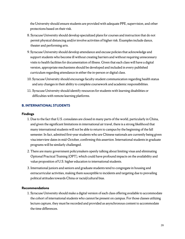the University should ensure students are provided with adequate PPE, supervision, and other protections based on their risk.

- 8. Syracuse University should develop specialized plans for courses and instruction that do not permit physical distancing and/or involve activities of higher risk. Examples include dance, theater and performing arts.
- 9. Syracuse University should develop attendance and excuse policies that acknowledge and support students who become ill without creating barriers and without requiring unnecessary visits to health facilities for documentation of illness. Given that each class will have a digital version, appropriate mechanisms should be developed and included in every published curriculum regarding attendance in either the in-person or digital class.
- 10. Syracuse University should encourage faculty-student communication regarding health status and any changes in their ability to complete coursework and academic responsibilities.
- 11. Syracuse University should identify resources for students with learning disabilities or difficulties with remote learning platforms.

# **B. INTERNATIONAL STUDENTS**

### **Findings**

- 1. Due to the fact that U.S. consulates are closed in many parts of the world, particularly in China, and given the significant limitations in international air travel, there is a strong likelihood that many international students will not be able to return to campus by the beginning of the fall semester. In fact, admitted first-year students who are Chinese nationals are currently being given visa interview dates in mid-October, confirming this assertion. International students in graduate programs will be similarly challenged.
- 2. There are many government policymakers openly talking about limiting visas and eliminating Optional Practical Training (OPT), which could have profound impacts on the availability and value proposition of U.S. higher education to international students.
- 3. International juniors and seniors and graduate students tend to congregate in housing and extracurricular activities, making them susceptible to incidents and targeting due to prevailing political attitudes towards China or racial/cultural bias.

## **Recommendations**

1. Syracuse University should make a digital version of each class offering available to accommodate the cohort of international students who cannot be present on campus. For those classes utilizing lecture capture, they must be recorded and provided as asynchronous content to accommodate the time differences.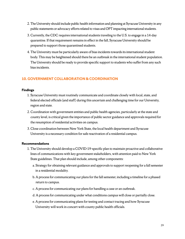- 2. The University should include public health information and planning at Syracuse University in any public statements or advocacy efforts related to visas and OPT impacting international students.
- 3. Currently, the CDC requires international students traveling to the U.S. to engage in a 14-day quarantine. If that requirement remains in effect in the fall, Syracuse University should be prepared to support those quarantined students.
- 4. The University must be particularly aware of bias incidents towards its international student body. This may be heightened should there be an outbreak in the international student population. The University should be ready to provide specific support to students who suffer from any such bias incidents.

# **10. GOVERNMENT COLLABORATION & COORDINATION**

### **Findings**

- 1. Syracuse University must routinely communicate and coordinate closely with local, state, and federal elected officials (and staff) during this uncertain and challenging time for our University, region and state.
- 2. Coordination with government entities and public health agencies, particularly at the state and county level, is critical given the importance of public sector guidance and approvals required for the resumption of residential activities on campus.
- 3. Close coordination between New York State, the local health department and Syracuse University is a necessary condition for safe reactivation of a residential campus.

- 1. The University should develop a COVID-19-specific plan to maintain proactive and collaborative lines of communications with key government stakeholders, with attention paid to New York State guidelines. That plan should include, among other components:
	- a. Strategy for obtaining relevant guidance and approvals to support reopening for a fall semester in a residential modality.
	- b. A process for communicating our plans for the fall semester, including a timeline for a phased return to campus.
	- c. A process for communicating our plans for handling a case or an outbreak.
	- d. A process for communicating under what conditions campus will close or partially close.
	- e. A process for communicating plans for testing and contact tracing and how Syracuse University will work in concert with county public health officials.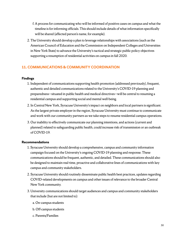- f. A process for communicating who will be informed of positive cases on campus and what the timeline is for informing officials. This should include details of what information specifically will be shared (affected person's name, for example).
- 2. The University should develop a plan to leverage relationships with associations (such as the American Council of Education and the Commission on Independent Colleges and Universities in New York State) to advance the University's tactical and strategic public policy objectives supporting a resumption of residential activities on campus in fall 2020.

# **11. COMMUNICATIONS & COMMUNITY COORDINATION**

## **Findings**

- 1. Independent of communications supporting health promotion (addressed previously), frequent, authentic and detailed communications related to the University's COVID-19 planning and preparedness—situated in public health and medical directives—will be central to resuming a residential campus and supporting social and mental well-being.
- 2. In Central New York, Syracuse University's impact on neighbors and local partners is significant. As the largest private employer in the region, Syracuse University must continue to communicate and work with our community partners as we take steps to resume residential campus operations.
- 3. Our inability to effectively communicate our planning intentions, and actions (current and planned) related to safeguarding public health, could increase risk of transmission or an outbreak of COVID-19.

- 1. Syracuse University should develop a comprehensive, campus and community information campaign focused on the University's ongoing COVID-19 planning and response. These communications should be frequent, authentic, and detailed. These communications should also be designed to maintain real-time, proactive and collaborative lines of communications with key campus and community stakeholders.
- 2. Syracuse University should routinely disseminate public health best practices, updates regarding COVID-related developments on campus and other issues of relevance to the broader Central New York community.
- 3. University communications should target audiences and campus and community stakeholders that include (but are not limited to):
	- a. On-campus students
	- b. Off-campus students
	- c. Parents/Families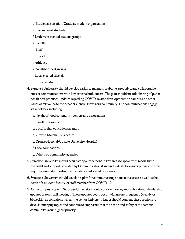- d. Student association/Graduate student organization
- e. International students
- f. Underrepresented student groups
- g. Faculty
- h. Staff
- i. Greek life
- j. Athletics
- k. Neighborhood groups
- l. Local elected officials
- m. Local media
- 4. Syracuse University should develop a plan to maintain real-time, proactive, and collaborative lines of communications with key external influencers. The plan should include sharing of public health best practices, updates regarding COVID-related developments on campus and other issues of relevance to the broader Central New York community. The communications engage stakeholders, including:
	- a. Neighborhood community centers and associations
	- b. Landlord associations
	- c. Local higher education partners
	- d. Crouse-Marshall businesses
	- e. Crouse Hospital/Upstate University Hospital
	- f. Local foundations
	- g. Other key community agencies
- 5. Syracuse University should designate spokespersons in key areas to speak with media (with oversight and support provided by Communications) and individuals to answer phone and email inquiries using standardized and evidence-informed responses.
- 6. Syracuse University should develop a plan for communicating about active cases as well as the death of a student, faculty, or staff member from COVID-19.
- 7. As the campus reopens, Syracuse University should consider hosting monthly (virtual) leadership updates or town hall meetings. These updates could occur with greater frequency (weekly or bi-weekly) as conditions warrant. A senior University leader should convene these sessions to discuss emerging topics and continue to emphasize that the health and safety of the campus community is our highest priority.